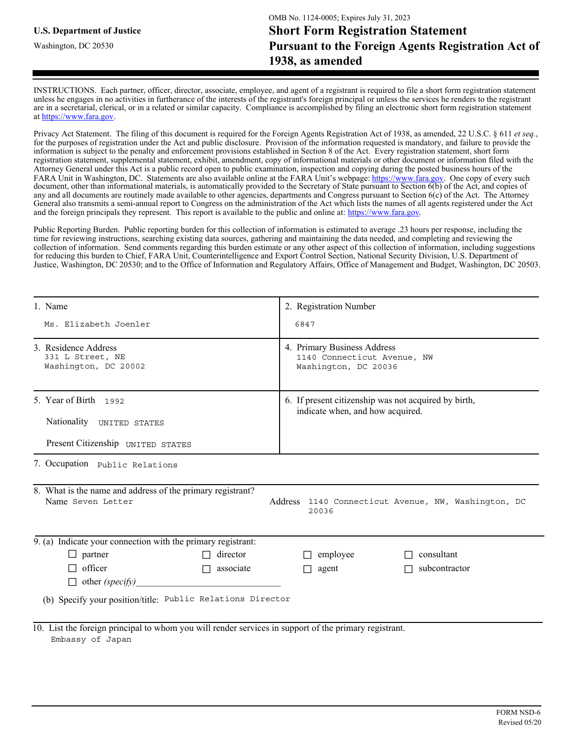Washington, DC 20530

INSTRUCTIONS. Each partner, officer, director, associate, employee, and agent of a registrant is required to file a short form registration statement unless he engages in no activities in furtherance of the interests of the registrant's foreign principal or unless the services he renders to the registrant are in a secretarial, clerical, or in a related or similar capacity. Compliance is accomplished by filing an electronic short form registration statement at https://www.fara.gov.

Privacy Act Statement. The filing of this document is required for the Foreign Agents Registration Act of 1938, as amended, 22 U.S.C. § 611 et seq., for the purposes of registration under the Act and public disclosure. Provision of the information requested is mandatory, and failure to provide the information is subject to the penalty and enforcement provisions established in Section 8 of the Act. Every registration statement, short form registration statement, supplemental statement, exhibit, amendment, copy of informational materials or other document or information filed with the Attorney General under this Act is a public record open to public examination, inspection and copying during the posted business hours of the FARA Unit in Washington, DC. Statements are also available online at the FARA Unit's webpage: https://www.fara.gov. One copy of every such document, other than informational materials, is automatically provided to the Secr any and all documents are routinely made available to other agencies, departments and Congress pursuant to Section 6(c) of the Act. The Attorney General also transmits a semi-annual report to Congress on the administration of the Act which lists the names of all agents registered under the Act and the foreign principals they represent. This report is available to the public and online at: https://www.fara.gov.

Public Reporting Burden. Public reporting burden for this collection of information is estimated to average .23 hours per response, including the time for reviewing instructions, searching existing data sources, gathering and maintaining the data needed, and completing and reviewing the collection of information. Send comments regarding this burden estimate or any other aspect of this collection of information, including suggestions for reducing this burden to Chief, FARA Unit, Counterintelligence and Export Control Section, National Security Division, U.S. Department of Justice, Washington, DC 20530; and to the Office of Information and Regulatory Affairs, Office of Management and Budget, Washington, DC 20503.

| 1. Name                                                                                                                   | 2. Registration Number                                                                   |  |  |  |
|---------------------------------------------------------------------------------------------------------------------------|------------------------------------------------------------------------------------------|--|--|--|
| Ms. Elizabeth Joenler                                                                                                     | 6847                                                                                     |  |  |  |
| 3. Residence Address<br>331 L Street, NE<br>Washington, DC 20002                                                          | 4. Primary Business Address<br>1140 Connecticut Avenue, NW<br>Washington, DC 20036       |  |  |  |
| 5. Year of Birth 1992<br>Nationality UNITED STATES                                                                        | 6. If present citizenship was not acquired by birth,<br>indicate when, and how acquired. |  |  |  |
| Present Citizenship UNITED STATES                                                                                         |                                                                                          |  |  |  |
| 7. Occupation Public Relations                                                                                            |                                                                                          |  |  |  |
| 8. What is the name and address of the primary registrant?<br>Name Seven Letter                                           | Address 1140 Connecticut Avenue, NW, Washington, DC<br>20036                             |  |  |  |
| 9. (a) Indicate your connection with the primary registrant:                                                              |                                                                                          |  |  |  |
| $\Box$ partner<br>director<br>П                                                                                           | $\Box$ employee<br>consultant                                                            |  |  |  |
| $\Box$ officer<br>associate<br>$\Box$                                                                                     | subcontractor<br>$\Box$ agent                                                            |  |  |  |
| $\Box$ other (specify)                                                                                                    |                                                                                          |  |  |  |
| (b) Specify your position/title: Public Relations Director                                                                |                                                                                          |  |  |  |
| 10. List the foreign principal to whom you will render services in support of the primary registrant.<br>Embassy of Japan |                                                                                          |  |  |  |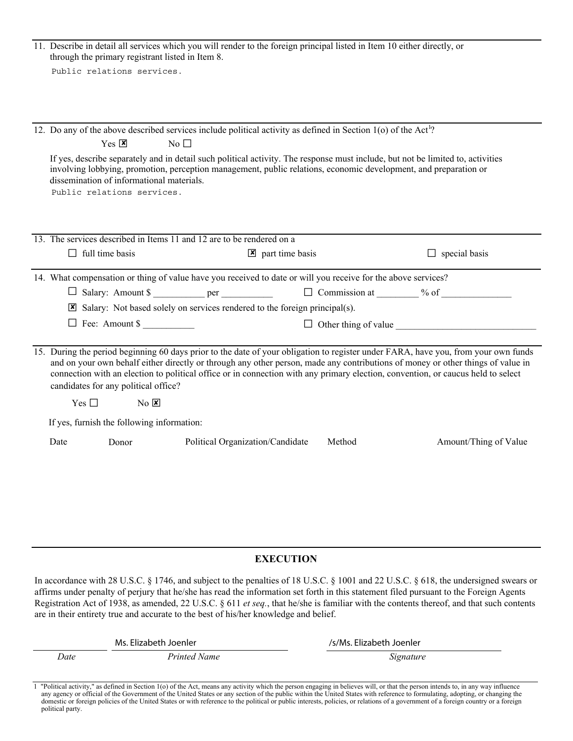|                                                                                                                                                                                                                                                                                                                                                                                                            |                                                                                                                                                                                                                                                                                                                                                                                                                                                                                                                                     | through the primary registrant listed in Item 8. |                 |  | 11. Describe in detail all services which you will render to the foreign principal listed in Item 10 either directly, or   |                       |  |  |
|------------------------------------------------------------------------------------------------------------------------------------------------------------------------------------------------------------------------------------------------------------------------------------------------------------------------------------------------------------------------------------------------------------|-------------------------------------------------------------------------------------------------------------------------------------------------------------------------------------------------------------------------------------------------------------------------------------------------------------------------------------------------------------------------------------------------------------------------------------------------------------------------------------------------------------------------------------|--------------------------------------------------|-----------------|--|----------------------------------------------------------------------------------------------------------------------------|-----------------------|--|--|
|                                                                                                                                                                                                                                                                                                                                                                                                            |                                                                                                                                                                                                                                                                                                                                                                                                                                                                                                                                     | Public relations services.                       |                 |  |                                                                                                                            |                       |  |  |
|                                                                                                                                                                                                                                                                                                                                                                                                            |                                                                                                                                                                                                                                                                                                                                                                                                                                                                                                                                     |                                                  |                 |  |                                                                                                                            |                       |  |  |
|                                                                                                                                                                                                                                                                                                                                                                                                            |                                                                                                                                                                                                                                                                                                                                                                                                                                                                                                                                     |                                                  |                 |  |                                                                                                                            |                       |  |  |
|                                                                                                                                                                                                                                                                                                                                                                                                            |                                                                                                                                                                                                                                                                                                                                                                                                                                                                                                                                     |                                                  |                 |  | 12. Do any of the above described services include political activity as defined in Section 1(o) of the Act <sup>1</sup> ? |                       |  |  |
|                                                                                                                                                                                                                                                                                                                                                                                                            |                                                                                                                                                                                                                                                                                                                                                                                                                                                                                                                                     | $Yes \nvert \mathbf{X}$                          | $\rm No$ $\Box$ |  |                                                                                                                            |                       |  |  |
|                                                                                                                                                                                                                                                                                                                                                                                                            | If yes, describe separately and in detail such political activity. The response must include, but not be limited to, activities<br>involving lobbying, promotion, perception management, public relations, economic development, and preparation or<br>dissemination of informational materials.<br>Public relations services.                                                                                                                                                                                                      |                                                  |                 |  |                                                                                                                            |                       |  |  |
|                                                                                                                                                                                                                                                                                                                                                                                                            |                                                                                                                                                                                                                                                                                                                                                                                                                                                                                                                                     |                                                  |                 |  |                                                                                                                            |                       |  |  |
|                                                                                                                                                                                                                                                                                                                                                                                                            |                                                                                                                                                                                                                                                                                                                                                                                                                                                                                                                                     |                                                  |                 |  |                                                                                                                            |                       |  |  |
|                                                                                                                                                                                                                                                                                                                                                                                                            |                                                                                                                                                                                                                                                                                                                                                                                                                                                                                                                                     |                                                  |                 |  |                                                                                                                            |                       |  |  |
|                                                                                                                                                                                                                                                                                                                                                                                                            |                                                                                                                                                                                                                                                                                                                                                                                                                                                                                                                                     |                                                  |                 |  |                                                                                                                            | $\Box$ special basis  |  |  |
|                                                                                                                                                                                                                                                                                                                                                                                                            |                                                                                                                                                                                                                                                                                                                                                                                                                                                                                                                                     |                                                  |                 |  |                                                                                                                            |                       |  |  |
| 13. The services described in Items 11 and 12 are to be rendered on a<br>$\Box$ full time basis<br>$\boxed{\mathbf{x}}$ part time basis<br>14. What compensation or thing of value have you received to date or will you receive for the above services?<br>$\boxtimes$ Salary: Not based solely on services rendered to the foreign principal(s).<br>Fee: Amount \$<br>$\Box$ Other thing of value $\Box$ |                                                                                                                                                                                                                                                                                                                                                                                                                                                                                                                                     |                                                  |                 |  |                                                                                                                            |                       |  |  |
|                                                                                                                                                                                                                                                                                                                                                                                                            |                                                                                                                                                                                                                                                                                                                                                                                                                                                                                                                                     |                                                  |                 |  |                                                                                                                            |                       |  |  |
|                                                                                                                                                                                                                                                                                                                                                                                                            |                                                                                                                                                                                                                                                                                                                                                                                                                                                                                                                                     |                                                  |                 |  |                                                                                                                            |                       |  |  |
|                                                                                                                                                                                                                                                                                                                                                                                                            |                                                                                                                                                                                                                                                                                                                                                                                                                                                                                                                                     |                                                  |                 |  |                                                                                                                            |                       |  |  |
|                                                                                                                                                                                                                                                                                                                                                                                                            |                                                                                                                                                                                                                                                                                                                                                                                                                                                                                                                                     |                                                  |                 |  |                                                                                                                            |                       |  |  |
|                                                                                                                                                                                                                                                                                                                                                                                                            | $N_0$ $\overline{\mathbf{x}}$<br>Yes $\square$                                                                                                                                                                                                                                                                                                                                                                                                                                                                                      |                                                  |                 |  |                                                                                                                            |                       |  |  |
|                                                                                                                                                                                                                                                                                                                                                                                                            | 15. During the period beginning 60 days prior to the date of your obligation to register under FARA, have you, from your own funds<br>and on your own behalf either directly or through any other person, made any contributions of money or other things of value in<br>connection with an election to political office or in connection with any primary election, convention, or caucus held to select<br>candidates for any political office?<br>If yes, furnish the following information:<br>Political Organization/Candidate |                                                  |                 |  |                                                                                                                            |                       |  |  |
|                                                                                                                                                                                                                                                                                                                                                                                                            | Date                                                                                                                                                                                                                                                                                                                                                                                                                                                                                                                                | Donor                                            |                 |  | Method                                                                                                                     | Amount/Thing of Value |  |  |
|                                                                                                                                                                                                                                                                                                                                                                                                            |                                                                                                                                                                                                                                                                                                                                                                                                                                                                                                                                     |                                                  |                 |  |                                                                                                                            |                       |  |  |
|                                                                                                                                                                                                                                                                                                                                                                                                            |                                                                                                                                                                                                                                                                                                                                                                                                                                                                                                                                     |                                                  |                 |  |                                                                                                                            |                       |  |  |
|                                                                                                                                                                                                                                                                                                                                                                                                            |                                                                                                                                                                                                                                                                                                                                                                                                                                                                                                                                     |                                                  |                 |  |                                                                                                                            |                       |  |  |
|                                                                                                                                                                                                                                                                                                                                                                                                            |                                                                                                                                                                                                                                                                                                                                                                                                                                                                                                                                     |                                                  |                 |  |                                                                                                                            |                       |  |  |
|                                                                                                                                                                                                                                                                                                                                                                                                            |                                                                                                                                                                                                                                                                                                                                                                                                                                                                                                                                     |                                                  |                 |  |                                                                                                                            |                       |  |  |
|                                                                                                                                                                                                                                                                                                                                                                                                            |                                                                                                                                                                                                                                                                                                                                                                                                                                                                                                                                     |                                                  |                 |  |                                                                                                                            |                       |  |  |
|                                                                                                                                                                                                                                                                                                                                                                                                            |                                                                                                                                                                                                                                                                                                                                                                                                                                                                                                                                     |                                                  |                 |  |                                                                                                                            |                       |  |  |

**EXECUTION** 

In accordance with 28 U.S.C. § 1746, and subject to the penalties of 18 U.S.C. § 1001 and 22 U.S.C. § 618, the undersigned swears or affirms under penalty of perjury that he/she has read the information set forth in this statement filed pursuant to the Foreign Agents Registration Act of 1938, as amended, 22 U.S.C. § 611 et seq., that he/she is familiar with the contents thereof, and that such contents are in their entirety true and accurate to the best of his/her knowledge and belief.

|      | Ms. Elizabeth Joenler | /s/Ms. Elizabeth Joenler |  |
|------|-----------------------|--------------------------|--|
| Date | Printed Name          | Signature                |  |

1 "Political activity," as defined in Section 1(o) of the Act, means any activity which the person engaging in believes will, or that the person intends to, in any way influence any agency or official of the Government of domestic or foreign policies of the United States or with reference to the political or public interests, policies, or relations of a government of a foreign country or a foreign political party.